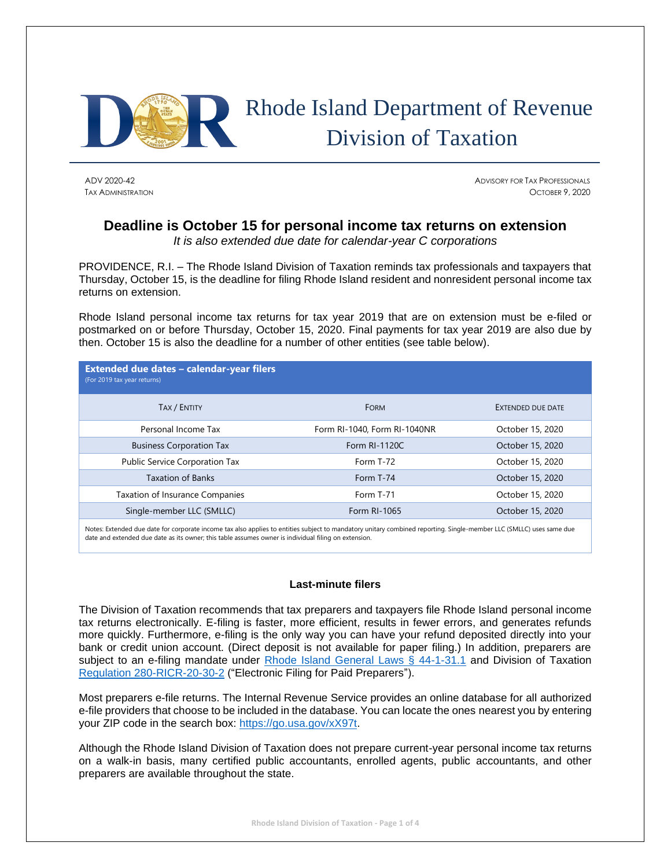

# Rhode Island Department of Revenue Division of Taxation

ADV 2020-42 ADVISORY FOR TAX PROFESSIONALS TAX ADMINISTRATION OCTOBER 9, 2020

## **Deadline is October 15 for personal income tax returns on extension**

*It is also extended due date for calendar-year C corporations*

PROVIDENCE, R.I. – The Rhode Island Division of Taxation reminds tax professionals and taxpayers that Thursday, October 15, is the deadline for filing Rhode Island resident and nonresident personal income tax returns on extension.

Rhode Island personal income tax returns for tax year 2019 that are on extension must be e-filed or postmarked on or before Thursday, October 15, 2020. Final payments for tax year 2019 are also due by then. October 15 is also the deadline for a number of other entities (see table below).

| Extended due dates - calendar-year filers<br>(For 2019 tax year returns) |                              |                   |
|--------------------------------------------------------------------------|------------------------------|-------------------|
| TAX / ENTITY                                                             | <b>FORM</b>                  | EXTENDED DUE DATE |
| Personal Income Tax                                                      | Form RI-1040, Form RI-1040NR | October 15, 2020  |
| <b>Business Corporation Tax</b>                                          | Form RI-1120C                | October 15, 2020  |
| Public Service Corporation Tax                                           | Form T-72                    | October 15, 2020  |
| <b>Taxation of Banks</b>                                                 | Form T-74                    | October 15, 2020  |
| Taxation of Insurance Companies                                          | Form T-71                    | October 15, 2020  |
| Single-member LLC (SMLLC)                                                | Form RI-1065                 | October 15, 2020  |

Notes: Extended due date for corporate income tax also applies to entities subject to mandatory unitary combined reporting. Single-member LLC (SMLLC) uses same due date and extended due date as its owner; this table assumes owner is individual filing on extension.

### **Last-minute filers**

The Division of Taxation recommends that tax preparers and taxpayers file Rhode Island personal income tax returns electronically. E-filing is faster, more efficient, results in fewer errors, and generates refunds more quickly. Furthermore, e-filing is the only way you can have your refund deposited directly into your bank or credit union account. (Direct deposit is not available for paper filing.) In addition, preparers are subject to an e-filing mandate under [Rhode Island General Laws § 44-1-31.1](http://webserver.rilin.state.ri.us/Statutes/TITLE44/44-1/44-1-31.1.HTM) and Division of Taxation [Regulation 280-RICR-20-30-2](https://rules.sos.ri.gov/regulations/part/280-20-30-2) ("Electronic Filing for Paid Preparers").

Most preparers e-file returns. The Internal Revenue Service provides an online database for all authorized e-file providers that choose to be included in the database. You can locate the ones nearest you by entering your ZIP code in the search box: [https://go.usa.gov/xX97t.](https://go.usa.gov/xX97t)

Although the Rhode Island Division of Taxation does not prepare current-year personal income tax returns on a walk-in basis, many certified public accountants, enrolled agents, public accountants, and other preparers are available throughout the state.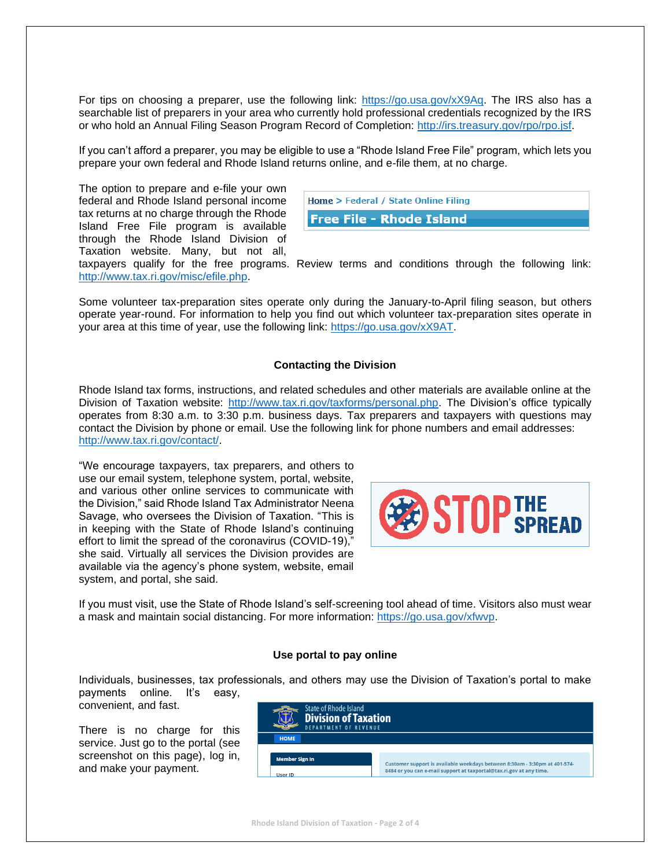For tips on choosing a preparer, use the following link: [https://go.usa.gov/xX9Aq.](https://go.usa.gov/xX9Aq) The IRS also has a searchable list of preparers in your area who currently hold professional credentials recognized by the IRS or who hold an Annual Filing Season Program Record of Completion: [http://irs.treasury.gov/rpo/rpo.jsf.](http://irs.treasury.gov/rpo/rpo.jsf)

If you can't afford a preparer, you may be eligible to use a "Rhode Island Free File" program, which lets you prepare your own federal and Rhode Island returns online, and e-file them, at no charge.

The option to prepare and e-file your own federal and Rhode Island personal income tax returns at no charge through the Rhode Island Free File program is available through the Rhode Island Division of Taxation website. Many, but not all,

| <b>Home &gt; Federal / State Online Filing</b> |  |
|------------------------------------------------|--|
| <b>Free File - Rhode Island</b>                |  |

taxpayers qualify for the free programs. Review terms and conditions through the following link: [http://www.tax.ri.gov/misc/efile.php.](http://www.tax.ri.gov/misc/efile.php)

Some volunteer tax-preparation sites operate only during the January-to-April filing season, but others operate year-round. For information to help you find out which volunteer tax-preparation sites operate in your area at this time of year, use the following link: [https://go.usa.gov/xX9AT.](https://go.usa.gov/xX9AT)

### **Contacting the Division**

Rhode Island tax forms, instructions, and related schedules and other materials are available online at the Division of Taxation website: [http://www.tax.ri.gov/taxforms/personal.php.](http://www.tax.ri.gov/taxforms/personal.php) The Division's office typically operates from 8:30 a.m. to 3:30 p.m. business days. Tax preparers and taxpayers with questions may contact the Division by phone or email. Use the following link for phone numbers and email addresses: [http://www.tax.ri.gov/contact/.](http://www.tax.ri.gov/contact/)

"We encourage taxpayers, tax preparers, and others to use our email system, telephone system, portal, website, and various other online services to communicate with the Division," said Rhode Island Tax Administrator Neena Savage, who oversees the Division of Taxation. "This is in keeping with the State of Rhode Island's continuing effort to limit the spread of the coronavirus (COVID-19)," she said. Virtually all services the Division provides are available via the agency's phone system, website, email system, and portal, she said.



If you must visit, use the State of Rhode Island's self-screening tool ahead of time. Visitors also must wear a mask and maintain social distancing. For more information: [https://go.usa.gov/xfwvp.](https://t.co/MjKXo950sC?amp=1)

### **Use portal to pay online**

Individuals, businesses, tax professionals, and others may use the Division of Taxation's portal to make payments online. It's easy,

convenient, and fast.

There is no charge for this service. Just go to the portal (see screenshot on this page), log in, and make your payment.

| State of Rhode Island<br><b>Division of Taxation</b><br><b>DEPARTMENT OF REVENUE</b> |                                                                            |  |
|--------------------------------------------------------------------------------------|----------------------------------------------------------------------------|--|
| <b>HOME</b>                                                                          |                                                                            |  |
| <b>Member Sign In</b>                                                                | Customer support is available weekdays between 8:30am - 3:30pm at 401-574- |  |
| <b>User ID</b>                                                                       | 8484 or you can e-mail support at taxportal@tax.ri.gov at any time.        |  |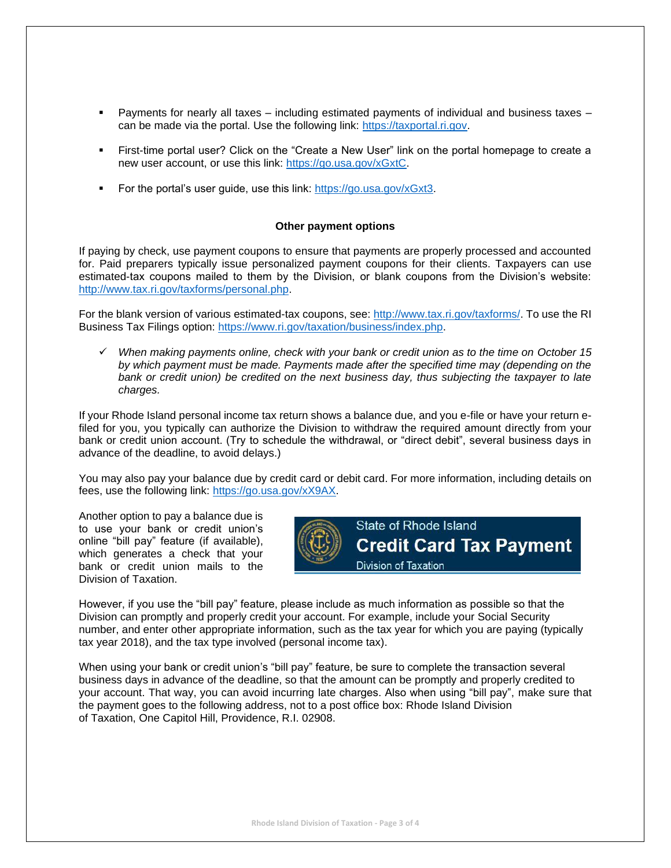- Payments for nearly all taxes including estimated payments of individual and business taxes can be made via the portal. Use the following link: [https://taxportal.ri.gov.](https://taxportal.ri.gov/)
- First-time portal user? Click on the "Create a New User" link on the portal homepage to create a new user account, or use this link: [https://go.usa.gov/xGxtC.](https://go.usa.gov/xGxtC)
- For the portal's user quide, use this link: [https://go.usa.gov/xGxt3.](https://go.usa.gov/xGxt3)

### **Other payment options**

If paying by check, use payment coupons to ensure that payments are properly processed and accounted for. Paid preparers typically issue personalized payment coupons for their clients. Taxpayers can use estimated-tax coupons mailed to them by the Division, or blank coupons from the Division's website: [http://www.tax.ri.gov/taxforms/personal.php.](http://www.tax.ri.gov/taxforms/personal.php)

For the blank version of various estimated-tax coupons, see: [http://www.tax.ri.gov/taxforms/.](http://www.tax.ri.gov/taxforms/) To use the RI Business Tax Filings option: [https://www.ri.gov/taxation/business/index.php.](https://www.ri.gov/taxation/business/index.php)

✓ *When making payments online, check with your bank or credit union as to the time on October 15 by which payment must be made. Payments made after the specified time may (depending on the bank or credit union) be credited on the next business day, thus subjecting the taxpayer to late charges.*

If your Rhode Island personal income tax return shows a balance due, and you e-file or have your return efiled for you, you typically can authorize the Division to withdraw the required amount directly from your bank or credit union account. (Try to schedule the withdrawal, or "direct debit", several business days in advance of the deadline, to avoid delays.)

You may also pay your balance due by credit card or debit card. For more information, including details on fees, use the following link: [https://go.usa.gov/xX9AX.](https://go.usa.gov/xX9AX)

Another option to pay a balance due is to use your bank or credit union's online "bill pay" feature (if available), which generates a check that your bank or credit union mails to the Division of Taxation.



However, if you use the "bill pay" feature, please include as much information as possible so that the Division can promptly and properly credit your account. For example, include your Social Security number, and enter other appropriate information, such as the tax year for which you are paying (typically tax year 2018), and the tax type involved (personal income tax).

When using your bank or credit union's "bill pay" feature, be sure to complete the transaction several business days in advance of the deadline, so that the amount can be promptly and properly credited to your account. That way, you can avoid incurring late charges. Also when using "bill pay", make sure that the payment goes to the following address, not to a post office box: Rhode Island Division of Taxation, One Capitol Hill, Providence, R.I. 02908.